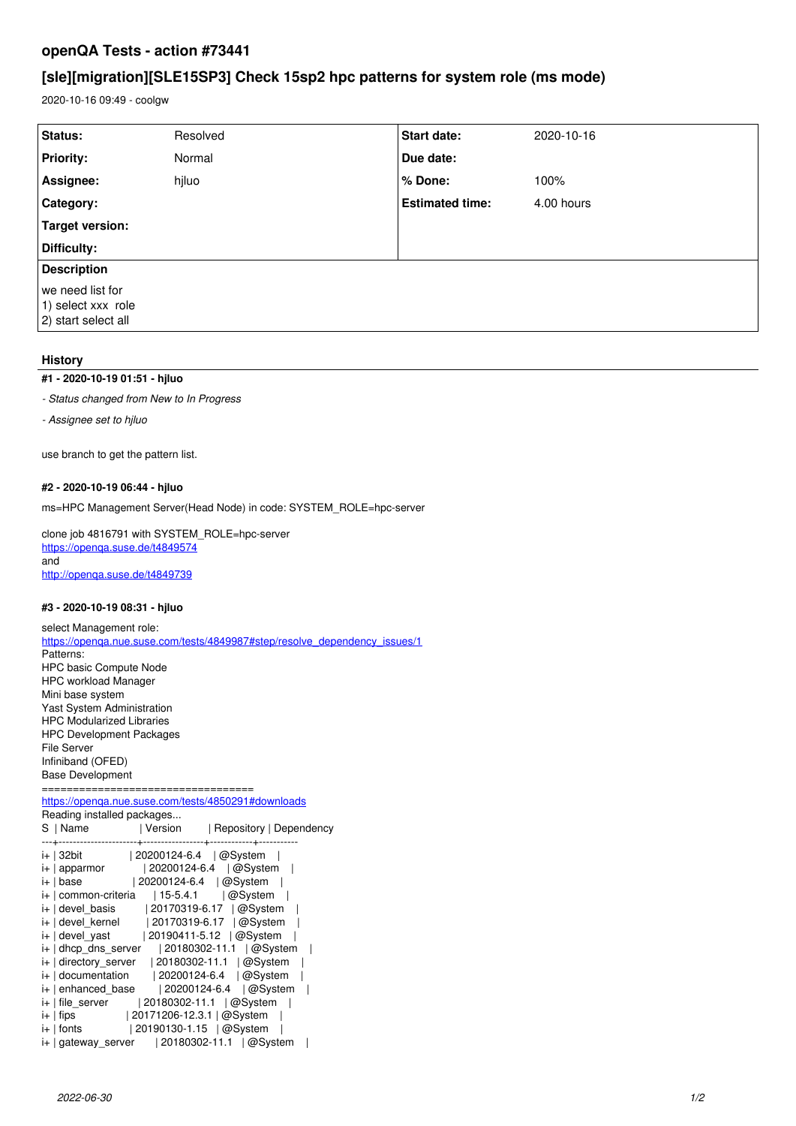# **openQA Tests - action #73441**

# **[sle][migration][SLE15SP3] Check 15sp2 hpc patterns for system role (ms mode)**

2020-10-16 09:49 - coolgw

| Status:                                                       | Resolved | <b>Start date:</b>     | 2020-10-16 |  |
|---------------------------------------------------------------|----------|------------------------|------------|--|
| <b>Priority:</b>                                              | Normal   | Due date:              |            |  |
| Assignee:                                                     | hjluo    | % Done:                | 100%       |  |
| Category:                                                     |          | <b>Estimated time:</b> | 4.00 hours |  |
| Target version:                                               |          |                        |            |  |
| Difficulty:                                                   |          |                        |            |  |
| <b>Description</b>                                            |          |                        |            |  |
| we need list for<br>1) select xxx role<br>2) start select all |          |                        |            |  |

### **History**

### **#1 - 2020-10-19 01:51 - hjluo**

*- Status changed from New to In Progress*

*- Assignee set to hjluo*

use branch to get the pattern list.

#### **#2 - 2020-10-19 06:44 - hjluo**

ms=HPC Management Server(Head Node) in code: SYSTEM\_ROLE=hpc-server

clone job 4816791 with SYSTEM\_ROLE=hpc-server <https://openqa.suse.de/t4849574> and <http://openqa.suse.de/t4849739>

#### **#3 - 2020-10-19 08:31 - hjluo**

select Management role: [https://openqa.nue.suse.com/tests/4849987#step/resolve\\_dependency\\_issues/1](https://openqa.nue.suse.com/tests/4849987#step/resolve_dependency_issues/1) Patterns: HPC basic Compute Node HPC workload Manager Mini base system Yast System Administration HPC Modularized Libraries HPC Development Packages File Server Infiniband (OFED) Base Development ====================================== <https://openqa.nue.suse.com/tests/4850291#downloads>

Reading installed packages...<br>S | Name | Version

|                                         | S   Name   Version   Repository   Dependency                       |
|-----------------------------------------|--------------------------------------------------------------------|
|                                         |                                                                    |
| i+ 32bit   20200124-6.4   @ System      |                                                                    |
| i+   apparmor                           | $ 20200124 - 6.4 $ @System                                         |
|                                         | i+   base   20200124-6.4   @ System                                |
|                                         | $i+$   common-criteria   15-5.4.1   @ System                       |
|                                         | $i+ \text{devel}$ basis   20170319-6.17   @System                  |
|                                         | i+   devel_kernel   20170319-6.17   @System                        |
|                                         | $i+ \text{devel}_y$ ast   20190411-5.12   @System                  |
|                                         | $i+$ dhcp dns server   20180302-11.1   @System                     |
|                                         | $i+$   directory_server   20180302-11.1   @System                  |
|                                         | $i+ \text{ documentation} $ 20200124-6.4 $ \textcircled{a}$ System |
|                                         | $i+$   enhanced base   20200124-6.4   @System                      |
|                                         | $i+$   file server   20180302-11.1   @ System                      |
| $i+$   fips $ 20171206-12.3.1 $ @System |                                                                    |
| $i+$   fonts   20190130-1.15   @ System |                                                                    |
|                                         | $i+$ gateway server   20180302-11.1   @ System                     |